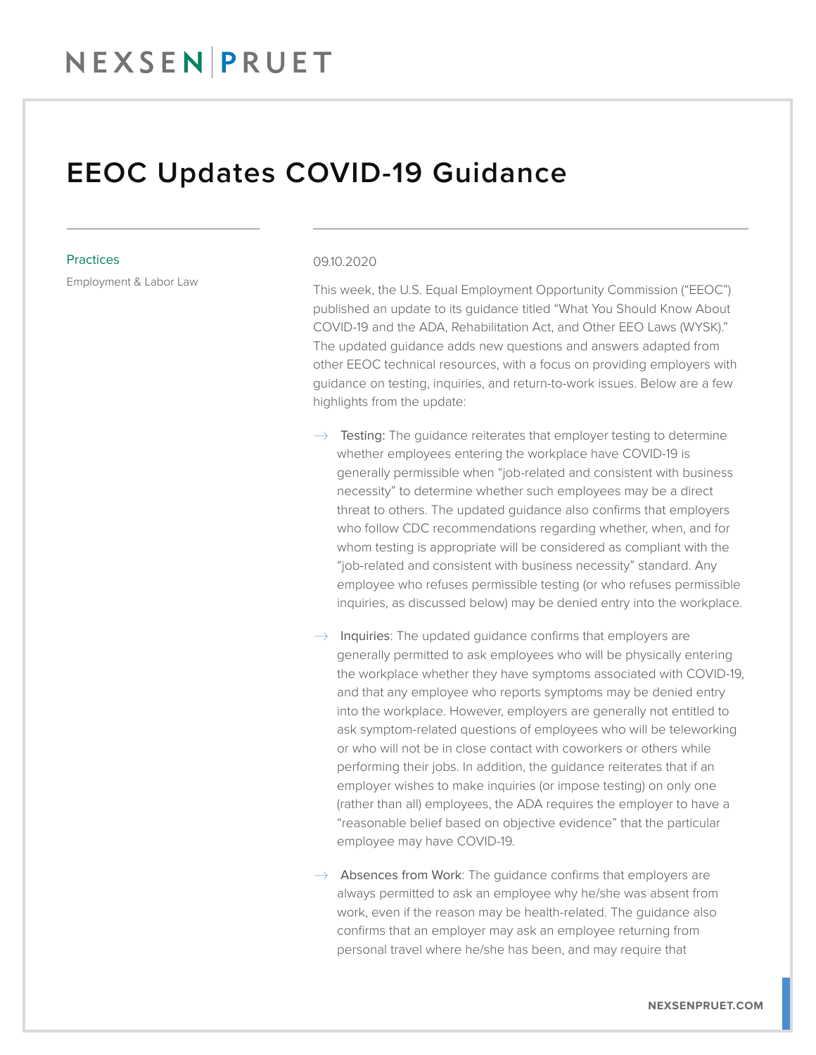## EEOC Updates COVID-19 Guidance

## **Practices**

Employment & Labor Law

## 09.10.2020

This week, the U.S. Equal Employment Opportunity Commission ("EEOC") published an update to its guidance titled "What You Should Know About COVID-19 and the ADA, Rehabilitation Act, and Other EEO Laws (WYSK)." The updated guidance adds new questions and answers adapted from other EEOC technical resources, with a focus on providing employers with guidance on testing, inquiries, and return-to-work issues. Below are a few highlights from the update:

- $\rightarrow$  Testing: The guidance reiterates that employer testing to determine whether employees entering the workplace have COVID-19 is generally permissible when "job-related and consistent with business necessity" to determine whether such employees may be a direct threat to others. The updated guidance also confirms that employers who follow CDC recommendations regarding whether, when, and for whom testing is appropriate will be considered as compliant with the "job-related and consistent with business necessity" standard. Any employee who refuses permissible testing (or who refuses permissible inquiries, as discussed below) may be denied entry into the workplace.
- $\rightarrow$  Inquiries: The updated quidance confirms that employers are generally permitted to ask employees who will be physically entering the workplace whether they have symptoms associated with COVID-19, and that any employee who reports symptoms may be denied entry into the workplace. However, employers are generally not entitled to ask symptom-related questions of employees who will be teleworking or who will not be in close contact with coworkers or others while performing their jobs. In addition, the guidance reiterates that if an employer wishes to make inquiries (or impose testing) on only one (rather than all) employees, the ADA requires the employer to have a "reasonable belief based on objective evidence" that the particular employee may have COVID-19.

 $\rightarrow$  Absences from Work: The guidance confirms that employers are always permitted to ask an employee why he/she was absent from work, even if the reason may be health-related. The guidance also confirms that an employer may ask an employee returning from personal travel where he/she has been, and may require that